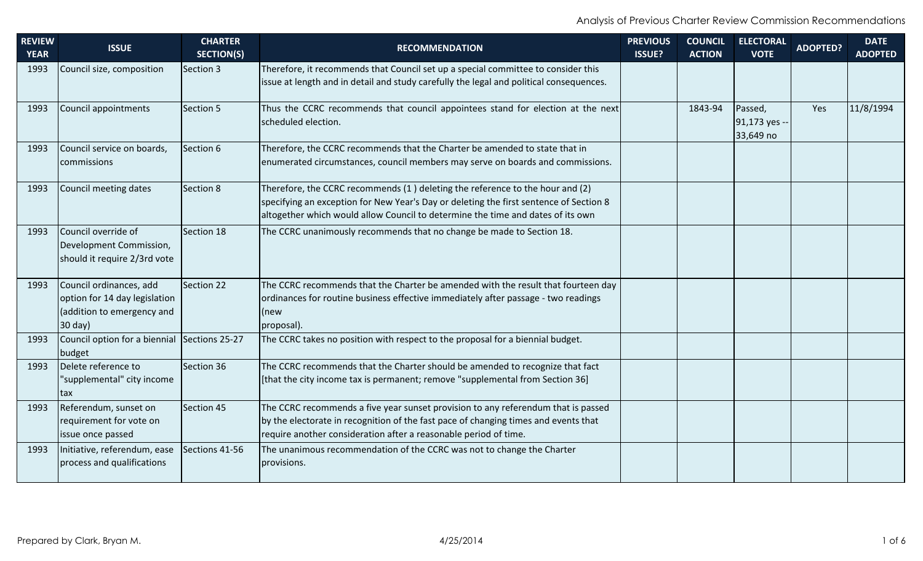| <b>REVIEW</b><br><b>YEAR</b> | <b>ISSUE</b>                                                                                      | <b>CHARTER</b><br><b>SECTION(S)</b> | <b>RECOMMENDATION</b>                                                                                                                                                                                                                                      | <b>PREVIOUS</b><br><b>ISSUE?</b> | <b>COUNCIL</b><br><b>ACTION</b> | <b>ELECTORAL</b><br><b>VOTE</b>       | <b>ADOPTED?</b> | <b>DATE</b><br><b>ADOPTED</b> |
|------------------------------|---------------------------------------------------------------------------------------------------|-------------------------------------|------------------------------------------------------------------------------------------------------------------------------------------------------------------------------------------------------------------------------------------------------------|----------------------------------|---------------------------------|---------------------------------------|-----------------|-------------------------------|
| 1993                         | Council size, composition                                                                         | Section 3                           | Therefore, it recommends that Council set up a special committee to consider this                                                                                                                                                                          |                                  |                                 |                                       |                 |                               |
|                              |                                                                                                   |                                     | issue at length and in detail and study carefully the legal and political consequences.                                                                                                                                                                    |                                  |                                 |                                       |                 |                               |
| 1993                         | Council appointments                                                                              | Section 5                           | Thus the CCRC recommends that council appointees stand for election at the next<br>scheduled election.                                                                                                                                                     |                                  | 1843-94                         | Passed,<br>91,173 yes --<br>33,649 no | Yes             | 11/8/1994                     |
| 1993                         | Council service on boards,                                                                        | Section 6                           | Therefore, the CCRC recommends that the Charter be amended to state that in                                                                                                                                                                                |                                  |                                 |                                       |                 |                               |
|                              | commissions                                                                                       |                                     | enumerated circumstances, council members may serve on boards and commissions.                                                                                                                                                                             |                                  |                                 |                                       |                 |                               |
| 1993                         | Council meeting dates                                                                             | Section 8                           | Therefore, the CCRC recommends (1) deleting the reference to the hour and (2)<br>specifying an exception for New Year's Day or deleting the first sentence of Section 8<br>altogether which would allow Council to determine the time and dates of its own |                                  |                                 |                                       |                 |                               |
| 1993                         | Council override of<br>Development Commission,<br>should it require 2/3rd vote                    | Section 18                          | The CCRC unanimously recommends that no change be made to Section 18.                                                                                                                                                                                      |                                  |                                 |                                       |                 |                               |
| 1993                         | Council ordinances, add<br>option for 14 day legislation<br>(addition to emergency and<br>30 day) | Section 22                          | The CCRC recommends that the Charter be amended with the result that fourteen day<br>ordinances for routine business effective immediately after passage - two readings<br>(new<br>proposal).                                                              |                                  |                                 |                                       |                 |                               |
| 1993                         | Council option for a biennial Sections 25-27<br>budget                                            |                                     | The CCRC takes no position with respect to the proposal for a biennial budget.                                                                                                                                                                             |                                  |                                 |                                       |                 |                               |
| 1993                         | Delete reference to<br>"supplemental" city income<br>tax                                          | Section 36                          | The CCRC recommends that the Charter should be amended to recognize that fact<br>[that the city income tax is permanent; remove "supplemental from Section 36]                                                                                             |                                  |                                 |                                       |                 |                               |
| 1993                         | Referendum, sunset on<br>requirement for vote on<br>issue once passed                             | Section 45                          | The CCRC recommends a five year sunset provision to any referendum that is passed<br>by the electorate in recognition of the fast pace of changing times and events that<br>require another consideration after a reasonable period of time.               |                                  |                                 |                                       |                 |                               |
| 1993                         | Initiative, referendum, ease<br>process and qualifications                                        | Sections 41-56                      | The unanimous recommendation of the CCRC was not to change the Charter<br>provisions.                                                                                                                                                                      |                                  |                                 |                                       |                 |                               |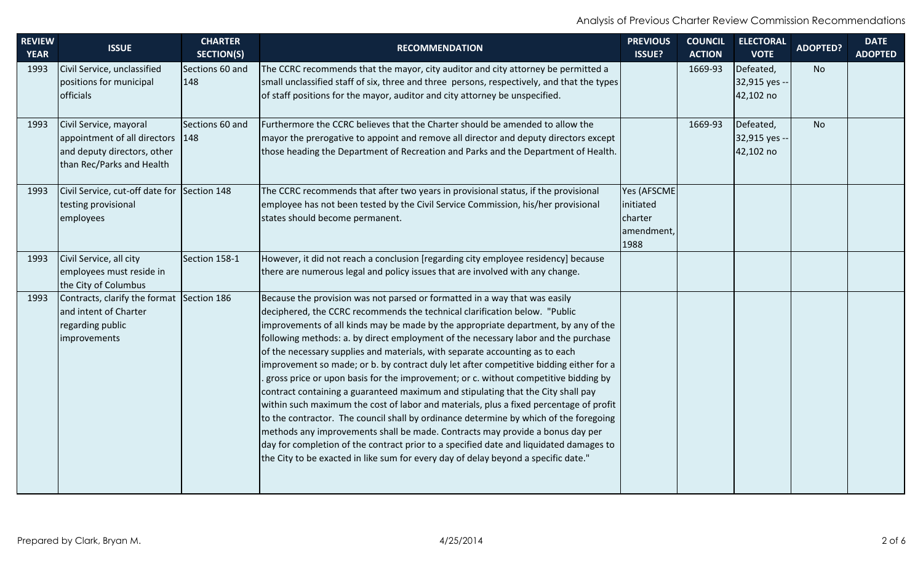| <b>REVIEW</b><br><b>YEAR</b> | <b>ISSUE</b>                                | <b>CHARTER</b><br><b>SECTION(S)</b> | <b>RECOMMENDATION</b>                                                                                                                                                   | <b>PREVIOUS</b><br><b>ISSUE?</b> | <b>COUNCIL</b><br><b>ACTION</b> | <b>ELECTORAL</b><br><b>VOTE</b> | <b>ADOPTED?</b> | <b>DATE</b><br><b>ADOPTED</b> |
|------------------------------|---------------------------------------------|-------------------------------------|-------------------------------------------------------------------------------------------------------------------------------------------------------------------------|----------------------------------|---------------------------------|---------------------------------|-----------------|-------------------------------|
| 1993                         | Civil Service, unclassified                 | Sections 60 and                     | The CCRC recommends that the mayor, city auditor and city attorney be permitted a                                                                                       |                                  | 1669-93                         | Defeated,                       | <b>No</b>       |                               |
|                              | positions for municipal                     | 148                                 | small unclassified staff of six, three and three persons, respectively, and that the types                                                                              |                                  |                                 | 32,915 yes --                   |                 |                               |
|                              | officials                                   |                                     | of staff positions for the mayor, auditor and city attorney be unspecified.                                                                                             |                                  |                                 | 42,102 no                       |                 |                               |
| 1993                         | Civil Service, mayoral                      | Sections 60 and                     | Furthermore the CCRC believes that the Charter should be amended to allow the                                                                                           |                                  | 1669-93                         | Defeated,                       | <b>No</b>       |                               |
|                              | appointment of all directors                | $ 148\rangle$                       | mayor the prerogative to appoint and remove all director and deputy directors except                                                                                    |                                  |                                 | 32,915 yes --                   |                 |                               |
|                              | and deputy directors, other                 |                                     | those heading the Department of Recreation and Parks and the Department of Health.                                                                                      |                                  |                                 | 42,102 no                       |                 |                               |
|                              | than Rec/Parks and Health                   |                                     |                                                                                                                                                                         |                                  |                                 |                                 |                 |                               |
| 1993                         | Civil Service, cut-off date for Section 148 |                                     | The CCRC recommends that after two years in provisional status, if the provisional                                                                                      | Yes (AFSCME                      |                                 |                                 |                 |                               |
|                              | testing provisional                         |                                     | employee has not been tested by the Civil Service Commission, his/her provisional                                                                                       | initiated                        |                                 |                                 |                 |                               |
|                              | employees                                   |                                     | states should become permanent.                                                                                                                                         | charter                          |                                 |                                 |                 |                               |
|                              |                                             |                                     |                                                                                                                                                                         | amendment,                       |                                 |                                 |                 |                               |
|                              |                                             |                                     |                                                                                                                                                                         | 1988                             |                                 |                                 |                 |                               |
| 1993                         | Civil Service, all city                     | Section 158-1                       | However, it did not reach a conclusion [regarding city employee residency] because                                                                                      |                                  |                                 |                                 |                 |                               |
|                              | employees must reside in                    |                                     | there are numerous legal and policy issues that are involved with any change.                                                                                           |                                  |                                 |                                 |                 |                               |
|                              | the City of Columbus                        |                                     |                                                                                                                                                                         |                                  |                                 |                                 |                 |                               |
| 1993                         | Contracts, clarify the format               | Section 186                         | Because the provision was not parsed or formatted in a way that was easily                                                                                              |                                  |                                 |                                 |                 |                               |
|                              | and intent of Charter                       |                                     | deciphered, the CCRC recommends the technical clarification below. "Public                                                                                              |                                  |                                 |                                 |                 |                               |
|                              | regarding public                            |                                     | improvements of all kinds may be made by the appropriate department, by any of the                                                                                      |                                  |                                 |                                 |                 |                               |
|                              | improvements                                |                                     | following methods: a. by direct employment of the necessary labor and the purchase                                                                                      |                                  |                                 |                                 |                 |                               |
|                              |                                             |                                     | of the necessary supplies and materials, with separate accounting as to each                                                                                            |                                  |                                 |                                 |                 |                               |
|                              |                                             |                                     | improvement so made; or b. by contract duly let after competitive bidding either for a                                                                                  |                                  |                                 |                                 |                 |                               |
|                              |                                             |                                     | gross price or upon basis for the improvement; or c. without competitive bidding by                                                                                     |                                  |                                 |                                 |                 |                               |
|                              |                                             |                                     | contract containing a guaranteed maximum and stipulating that the City shall pay                                                                                        |                                  |                                 |                                 |                 |                               |
|                              |                                             |                                     | within such maximum the cost of labor and materials, plus a fixed percentage of profit                                                                                  |                                  |                                 |                                 |                 |                               |
|                              |                                             |                                     | to the contractor. The council shall by ordinance determine by which of the foregoing                                                                                   |                                  |                                 |                                 |                 |                               |
|                              |                                             |                                     | methods any improvements shall be made. Contracts may provide a bonus day per<br>day for completion of the contract prior to a specified date and liquidated damages to |                                  |                                 |                                 |                 |                               |
|                              |                                             |                                     |                                                                                                                                                                         |                                  |                                 |                                 |                 |                               |
|                              |                                             |                                     | the City to be exacted in like sum for every day of delay beyond a specific date."                                                                                      |                                  |                                 |                                 |                 |                               |
|                              |                                             |                                     |                                                                                                                                                                         |                                  |                                 |                                 |                 |                               |
|                              |                                             |                                     |                                                                                                                                                                         |                                  |                                 |                                 |                 |                               |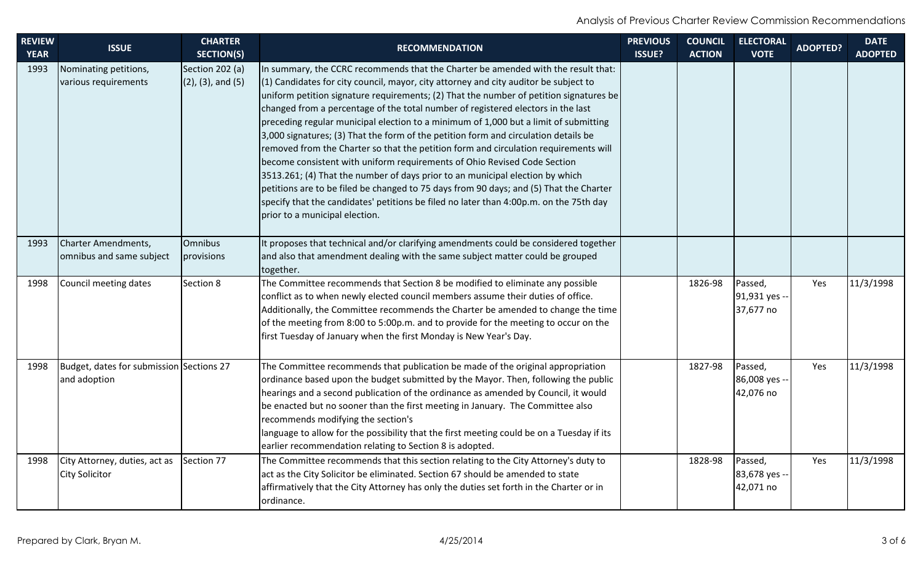| <b>REVIEW</b><br><b>YEAR</b> | <b>ISSUE</b>                                             | <b>CHARTER</b><br><b>SECTION(S)</b>          | <b>RECOMMENDATION</b>                                                                                                                                                                                                                                                                                                                                                                                                                                                                                                                                                                                                                                                                                                                                                                                                                                                                                                                                                                                               | <b>PREVIOUS</b><br><b>ISSUE?</b> | <b>COUNCIL</b><br><b>ACTION</b> | <b>ELECTORAL</b><br><b>VOTE</b>       | <b>ADOPTED?</b> | <b>DATE</b><br><b>ADOPTED</b> |
|------------------------------|----------------------------------------------------------|----------------------------------------------|---------------------------------------------------------------------------------------------------------------------------------------------------------------------------------------------------------------------------------------------------------------------------------------------------------------------------------------------------------------------------------------------------------------------------------------------------------------------------------------------------------------------------------------------------------------------------------------------------------------------------------------------------------------------------------------------------------------------------------------------------------------------------------------------------------------------------------------------------------------------------------------------------------------------------------------------------------------------------------------------------------------------|----------------------------------|---------------------------------|---------------------------------------|-----------------|-------------------------------|
| 1993                         | Nominating petitions,<br>various requirements            | Section 202 (a)<br>$(2)$ , $(3)$ , and $(5)$ | In summary, the CCRC recommends that the Charter be amended with the result that:<br>$(1)$ Candidates for city council, mayor, city attorney and city auditor be subject to<br>uniform petition signature requirements; (2) That the number of petition signatures be<br>changed from a percentage of the total number of registered electors in the last<br>preceding regular municipal election to a minimum of 1,000 but a limit of submitting<br>3,000 signatures; (3) That the form of the petition form and circulation details be<br>removed from the Charter so that the petition form and circulation requirements will<br>become consistent with uniform requirements of Ohio Revised Code Section<br>3513.261; (4) That the number of days prior to an municipal election by which<br>petitions are to be filed be changed to 75 days from 90 days; and (5) That the Charter<br>specify that the candidates' petitions be filed no later than 4:00p.m. on the 75th day<br>prior to a municipal election. |                                  |                                 |                                       |                 |                               |
| 1993                         | Charter Amendments,<br>omnibus and same subject          | Omnibus<br>provisions                        | It proposes that technical and/or clarifying amendments could be considered together<br>and also that amendment dealing with the same subject matter could be grouped<br>together.                                                                                                                                                                                                                                                                                                                                                                                                                                                                                                                                                                                                                                                                                                                                                                                                                                  |                                  |                                 |                                       |                 |                               |
| 1998                         | Council meeting dates                                    | Section 8                                    | The Committee recommends that Section 8 be modified to eliminate any possible<br>conflict as to when newly elected council members assume their duties of office.<br>Additionally, the Committee recommends the Charter be amended to change the time<br>of the meeting from 8:00 to 5:00p.m. and to provide for the meeting to occur on the<br>first Tuesday of January when the first Monday is New Year's Day.                                                                                                                                                                                                                                                                                                                                                                                                                                                                                                                                                                                                   |                                  | 1826-98                         | Passed,<br>91,931 yes --<br>37,677 no | Yes             | 11/3/1998                     |
| 1998                         | Budget, dates for submission Sections 27<br>and adoption |                                              | The Committee recommends that publication be made of the original appropriation<br>ordinance based upon the budget submitted by the Mayor. Then, following the public<br>hearings and a second publication of the ordinance as amended by Council, it would<br>be enacted but no sooner than the first meeting in January. The Committee also<br>recommends modifying the section's<br>language to allow for the possibility that the first meeting could be on a Tuesday if its<br>earlier recommendation relating to Section 8 is adopted.                                                                                                                                                                                                                                                                                                                                                                                                                                                                        |                                  | 1827-98                         | Passed,<br>86,008 yes --<br>42,076 no | Yes             | 11/3/1998                     |
| 1998                         | City Attorney, duties, act as<br><b>City Solicitor</b>   | Section 77                                   | The Committee recommends that this section relating to the City Attorney's duty to<br>act as the City Solicitor be eliminated. Section 67 should be amended to state<br>affirmatively that the City Attorney has only the duties set forth in the Charter or in<br>ordinance.                                                                                                                                                                                                                                                                                                                                                                                                                                                                                                                                                                                                                                                                                                                                       |                                  | 1828-98                         | Passed,<br>83,678 yes --<br>42,071 no | Yes             | 11/3/1998                     |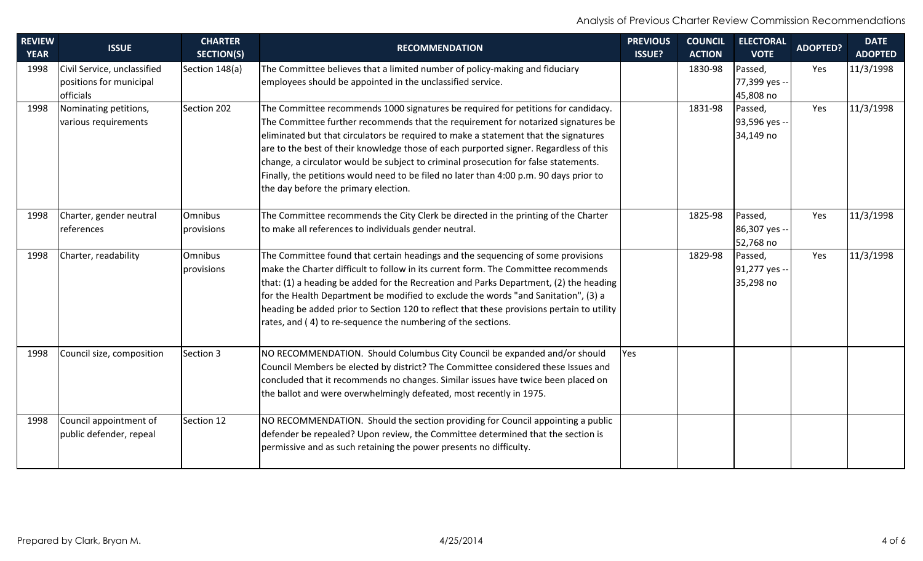| <b>REVIEW</b> | <b>ISSUE</b>                | <b>CHARTER</b>    | <b>RECOMMENDATION</b>                                                                     | <b>PREVIOUS</b> | <b>COUNCIL</b> | <b>ELECTORAL</b> | <b>ADOPTED?</b> | <b>DATE</b>    |
|---------------|-----------------------------|-------------------|-------------------------------------------------------------------------------------------|-----------------|----------------|------------------|-----------------|----------------|
| <b>YEAR</b>   |                             | <b>SECTION(S)</b> |                                                                                           | <b>ISSUE?</b>   | <b>ACTION</b>  | <b>VOTE</b>      |                 | <b>ADOPTED</b> |
| 1998          | Civil Service, unclassified | Section 148(a)    | The Committee believes that a limited number of policy-making and fiduciary               |                 | 1830-98        | Passed,          | Yes             | 11/3/1998      |
|               | positions for municipal     |                   | employees should be appointed in the unclassified service.                                |                 |                | 77,399 yes --    |                 |                |
|               | officials                   |                   |                                                                                           |                 |                | 45,808 no        |                 |                |
| 1998          | Nominating petitions,       | Section 202       | The Committee recommends 1000 signatures be required for petitions for candidacy.         |                 | 1831-98        | Passed,          | Yes             | 11/3/1998      |
|               | various requirements        |                   | The Committee further recommends that the requirement for notarized signatures be         |                 |                | 93,596 yes --    |                 |                |
|               |                             |                   | eliminated but that circulators be required to make a statement that the signatures       |                 |                | 34,149 no        |                 |                |
|               |                             |                   | are to the best of their knowledge those of each purported signer. Regardless of this     |                 |                |                  |                 |                |
|               |                             |                   | change, a circulator would be subject to criminal prosecution for false statements.       |                 |                |                  |                 |                |
|               |                             |                   | Finally, the petitions would need to be filed no later than 4:00 p.m. 90 days prior to    |                 |                |                  |                 |                |
|               |                             |                   | the day before the primary election.                                                      |                 |                |                  |                 |                |
| 1998          | Charter, gender neutral     | Omnibus           | The Committee recommends the City Clerk be directed in the printing of the Charter        |                 | 1825-98        | Passed,          | Yes             | 11/3/1998      |
|               | references                  | provisions        | to make all references to individuals gender neutral.                                     |                 |                | 86,307 yes --    |                 |                |
|               |                             |                   |                                                                                           |                 |                | 52,768 no        |                 |                |
| 1998          | Charter, readability        | <b>Omnibus</b>    | The Committee found that certain headings and the sequencing of some provisions           |                 | 1829-98        | Passed,          | Yes             | 11/3/1998      |
|               |                             | provisions        | make the Charter difficult to follow in its current form. The Committee recommends        |                 |                | 91,277 yes --    |                 |                |
|               |                             |                   | that: (1) a heading be added for the Recreation and Parks Department, (2) the heading     |                 |                | 35,298 no        |                 |                |
|               |                             |                   | for the Health Department be modified to exclude the words "and Sanitation", (3) a        |                 |                |                  |                 |                |
|               |                             |                   | heading be added prior to Section 120 to reflect that these provisions pertain to utility |                 |                |                  |                 |                |
|               |                             |                   | rates, and (4) to re-sequence the numbering of the sections.                              |                 |                |                  |                 |                |
| 1998          | Council size, composition   | Section 3         | NO RECOMMENDATION. Should Columbus City Council be expanded and/or should                 | Yes             |                |                  |                 |                |
|               |                             |                   | Council Members be elected by district? The Committee considered these Issues and         |                 |                |                  |                 |                |
|               |                             |                   | concluded that it recommends no changes. Similar issues have twice been placed on         |                 |                |                  |                 |                |
|               |                             |                   | the ballot and were overwhelmingly defeated, most recently in 1975.                       |                 |                |                  |                 |                |
|               |                             |                   |                                                                                           |                 |                |                  |                 |                |
| 1998          | Council appointment of      | Section 12        | NO RECOMMENDATION. Should the section providing for Council appointing a public           |                 |                |                  |                 |                |
|               | public defender, repeal     |                   | defender be repealed? Upon review, the Committee determined that the section is           |                 |                |                  |                 |                |
|               |                             |                   | permissive and as such retaining the power presents no difficulty.                        |                 |                |                  |                 |                |
|               |                             |                   |                                                                                           |                 |                |                  |                 |                |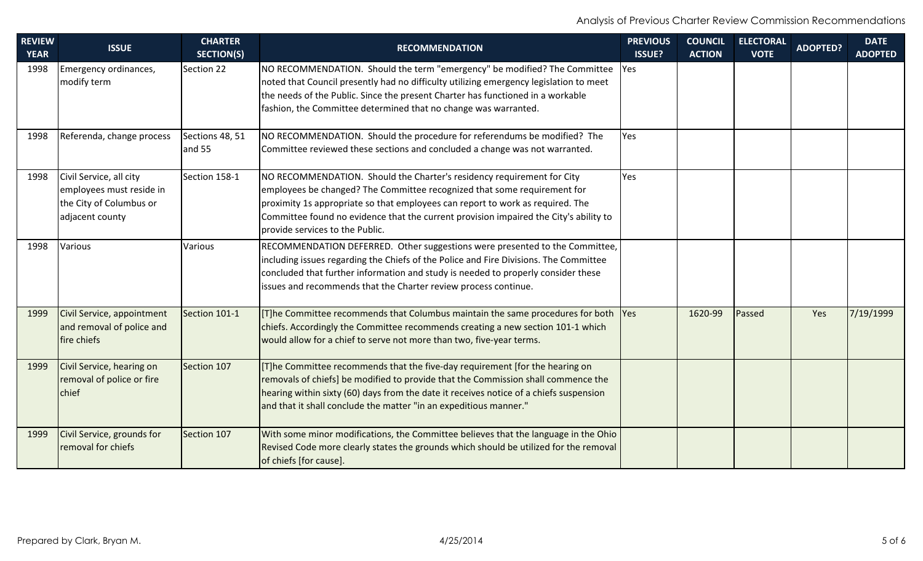| <b>REVIEW</b><br><b>YEAR</b> | <b>ISSUE</b>                                                                                      | <b>CHARTER</b><br><b>SECTION(S)</b> | <b>RECOMMENDATION</b>                                                                                                                                                                                                                                                                                                                                            | <b>PREVIOUS</b><br><b>ISSUE?</b> | <b>COUNCIL</b><br><b>ACTION</b> | <b>ELECTORAL</b><br><b>VOTE</b> | <b>ADOPTED?</b> | <b>DATE</b><br><b>ADOPTED</b> |
|------------------------------|---------------------------------------------------------------------------------------------------|-------------------------------------|------------------------------------------------------------------------------------------------------------------------------------------------------------------------------------------------------------------------------------------------------------------------------------------------------------------------------------------------------------------|----------------------------------|---------------------------------|---------------------------------|-----------------|-------------------------------|
| 1998                         | Emergency ordinances,<br>modify term                                                              | Section 22                          | NO RECOMMENDATION. Should the term "emergency" be modified? The Committee<br>noted that Council presently had no difficulty utilizing emergency legislation to meet<br>the needs of the Public. Since the present Charter has functioned in a workable<br>fashion, the Committee determined that no change was warranted.                                        | Yes                              |                                 |                                 |                 |                               |
| 1998                         | Referenda, change process                                                                         | Sections 48, 51<br>and 55           | NO RECOMMENDATION. Should the procedure for referendums be modified? The<br>Committee reviewed these sections and concluded a change was not warranted.                                                                                                                                                                                                          | Yes                              |                                 |                                 |                 |                               |
| 1998                         | Civil Service, all city<br>employees must reside in<br>the City of Columbus or<br>adjacent county | Section 158-1                       | NO RECOMMENDATION. Should the Charter's residency requirement for City<br>employees be changed? The Committee recognized that some requirement for<br>proximity 1s appropriate so that employees can report to work as required. The<br>Committee found no evidence that the current provision impaired the City's ability to<br>provide services to the Public. | Yes                              |                                 |                                 |                 |                               |
| 1998                         | Various                                                                                           | Various                             | RECOMMENDATION DEFERRED. Other suggestions were presented to the Committee,<br>including issues regarding the Chiefs of the Police and Fire Divisions. The Committee<br>concluded that further information and study is needed to properly consider these<br>issues and recommends that the Charter review process continue.                                     |                                  |                                 |                                 |                 |                               |
| 1999                         | Civil Service, appointment<br>and removal of police and<br>fire chiefs                            | Section 101-1                       | [[T]he Committee recommends that Columbus maintain the same procedures for both  Yes<br>chiefs. Accordingly the Committee recommends creating a new section 101-1 which<br>would allow for a chief to serve not more than two, five-year terms.                                                                                                                  |                                  | 1620-99                         | Passed                          | Yes             | 7/19/1999                     |
| 1999                         | Civil Service, hearing on<br>removal of police or fire<br>chief                                   | Section 107                         | [[T]he Committee recommends that the five-day requirement [for the hearing on<br>removals of chiefs] be modified to provide that the Commission shall commence the<br>hearing within sixty (60) days from the date it receives notice of a chiefs suspension<br>and that it shall conclude the matter "in an expeditious manner."                                |                                  |                                 |                                 |                 |                               |
| 1999                         | Civil Service, grounds for<br>removal for chiefs                                                  | Section 107                         | With some minor modifications, the Committee believes that the language in the Ohio<br>Revised Code more clearly states the grounds which should be utilized for the removal<br>of chiefs [for cause].                                                                                                                                                           |                                  |                                 |                                 |                 |                               |